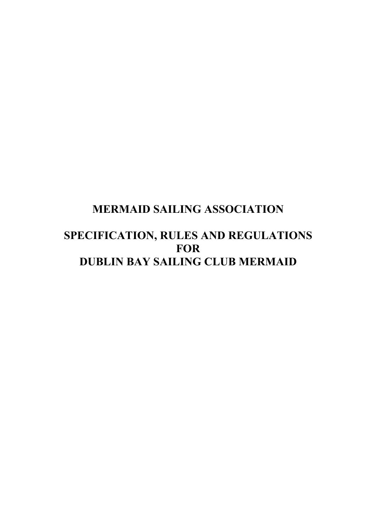# **MERMAID SAILING ASSOCIATION**

# **SPECIFICATION, RULES AND REGULATIONS FOR DUBLIN BAY SAILING CLUB MERMAID**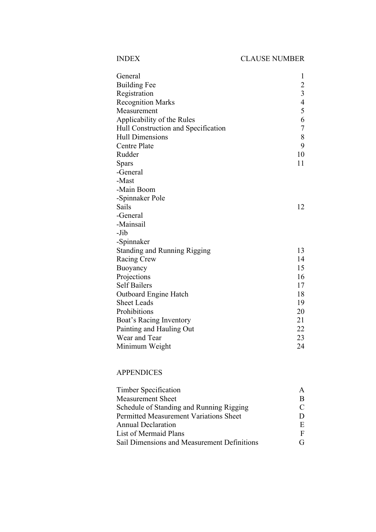|--|

| General                             | $\mathbf{1}$   |
|-------------------------------------|----------------|
| <b>Building Fee</b>                 |                |
| Registration                        | $\frac{2}{3}$  |
| <b>Recognition Marks</b>            | $\overline{4}$ |
| Measurement                         | 5              |
| Applicability of the Rules          | 6              |
| Hull Construction and Specification | $\overline{7}$ |
| <b>Hull Dimensions</b>              | 8              |
| <b>Centre Plate</b>                 | 9              |
| Rudder                              | 10             |
| <b>Spars</b>                        | 11             |
| -General                            |                |
| -Mast                               |                |
| -Main Boom                          |                |
| -Spinnaker Pole                     |                |
| Sails                               | 12             |
| -General                            |                |
| -Mainsail                           |                |
| -Jib                                |                |
| -Spinnaker                          |                |
| <b>Standing and Running Rigging</b> | 13             |
| Racing Crew                         | 14             |
| Buoyancy                            | 15             |
| Projections                         | 16             |
| <b>Self Bailers</b>                 | 17             |
| <b>Outboard Engine Hatch</b>        | 18             |
| <b>Sheet Leads</b>                  | 19             |
| Prohibitions                        | 20             |
| Boat's Racing Inventory             | 21             |
| Painting and Hauling Out            | 22             |
| Wear and Tear                       | 23             |
| Minimum Weight                      | 24             |

### APPENDICES

| <b>Timber Specification</b>                   | A |
|-----------------------------------------------|---|
| <b>Measurement Sheet</b>                      | B |
| Schedule of Standing and Running Rigging      |   |
| <b>Permitted Measurement Variations Sheet</b> |   |
| <b>Annual Declaration</b>                     | E |
| List of Mermaid Plans                         |   |
| Sail Dimensions and Measurement Definitions   |   |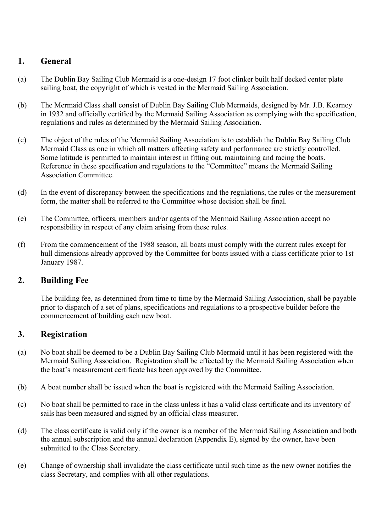# **1. General**

- (a) The Dublin Bay Sailing Club Mermaid is a one-design 17 foot clinker built half decked center plate sailing boat, the copyright of which is vested in the Mermaid Sailing Association.
- (b) The Mermaid Class shall consist of Dublin Bay Sailing Club Mermaids, designed by Mr. J.B. Kearney in 1932 and officially certified by the Mermaid Sailing Association as complying with the specification, regulations and rules as determined by the Mermaid Sailing Association.
- (c) The object of the rules of the Mermaid Sailing Association is to establish the Dublin Bay Sailing Club Mermaid Class as one in which all matters affecting safety and performance are strictly controlled. Some latitude is permitted to maintain interest in fitting out, maintaining and racing the boats. Reference in these specification and regulations to the "Committee" means the Mermaid Sailing Association Committee.
- (d) In the event of discrepancy between the specifications and the regulations, the rules or the measurement form, the matter shall be referred to the Committee whose decision shall be final.
- (e) The Committee, officers, members and/or agents of the Mermaid Sailing Association accept no responsibility in respect of any claim arising from these rules.
- (f) From the commencement of the 1988 season, all boats must comply with the current rules except for hull dimensions already approved by the Committee for boats issued with a class certificate prior to 1st January 1987.

## **2. Building Fee**

The building fee, as determined from time to time by the Mermaid Sailing Association, shall be payable prior to dispatch of a set of plans, specifications and regulations to a prospective builder before the commencement of building each new boat.

## **3. Registration**

- (a) No boat shall be deemed to be a Dublin Bay Sailing Club Mermaid until it has been registered with the Mermaid Sailing Association. Registration shall be effected by the Mermaid Sailing Association when the boat's measurement certificate has been approved by the Committee.
- (b) A boat number shall be issued when the boat is registered with the Mermaid Sailing Association.
- (c) No boat shall be permitted to race in the class unless it has a valid class certificate and its inventory of sails has been measured and signed by an official class measurer.
- (d) The class certificate is valid only if the owner is a member of the Mermaid Sailing Association and both the annual subscription and the annual declaration (Appendix E), signed by the owner, have been submitted to the Class Secretary.
- (e) Change of ownership shall invalidate the class certificate until such time as the new owner notifies the class Secretary, and complies with all other regulations.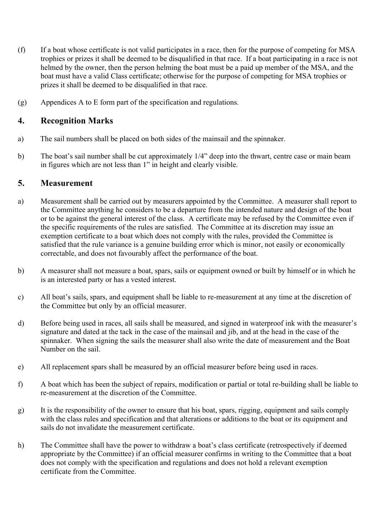- (f) If a boat whose certificate is not valid participates in a race, then for the purpose of competing for MSA trophies or prizes it shall be deemed to be disqualified in that race. If a boat participating in a race is not helmed by the owner, then the person helming the boat must be a paid up member of the MSA, and the boat must have a valid Class certificate; otherwise for the purpose of competing for MSA trophies or prizes it shall be deemed to be disqualified in that race.
- (g) Appendices A to E form part of the specification and regulations.

### **4. Recognition Marks**

- a) The sail numbers shall be placed on both sides of the mainsail and the spinnaker.
- b) The boat's sail number shall be cut approximately 1/4" deep into the thwart, centre case or main beam in figures which are not less than 1" in height and clearly visible.

### **5. Measurement**

- a) Measurement shall be carried out by measurers appointed by the Committee. A measurer shall report to the Committee anything he considers to be a departure from the intended nature and design of the boat or to be against the general interest of the class. A certificate may be refused by the Committee even if the specific requirements of the rules are satisfied. The Committee at its discretion may issue an exemption certificate to a boat which does not comply with the rules, provided the Committee is satisfied that the rule variance is a genuine building error which is minor, not easily or economically correctable, and does not favourably affect the performance of the boat.
- b) A measurer shall not measure a boat, spars, sails or equipment owned or built by himself or in which he is an interested party or has a vested interest.
- c) All boat's sails, spars, and equipment shall be liable to re-measurement at any time at the discretion of the Committee but only by an official measurer.
- d) Before being used in races, all sails shall be measured, and signed in waterproof ink with the measurer's signature and dated at the tack in the case of the mainsail and jib, and at the head in the case of the spinnaker. When signing the sails the measurer shall also write the date of measurement and the Boat Number on the sail.
- e) All replacement spars shall be measured by an official measurer before being used in races.
- f) A boat which has been the subject of repairs, modification or partial or total re-building shall be liable to re-measurement at the discretion of the Committee.
- g) It is the responsibility of the owner to ensure that his boat, spars, rigging, equipment and sails comply with the class rules and specification and that alterations or additions to the boat or its equipment and sails do not invalidate the measurement certificate.
- h) The Committee shall have the power to withdraw a boat's class certificate (retrospectively if deemed appropriate by the Committee) if an official measurer confirms in writing to the Committee that a boat does not comply with the specification and regulations and does not hold a relevant exemption certificate from the Committee.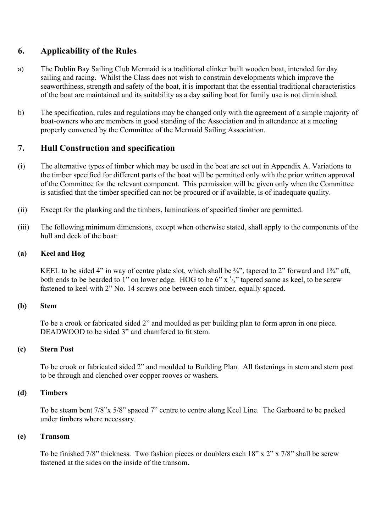### **6. Applicability of the Rules**

- a) The Dublin Bay Sailing Club Mermaid is a traditional clinker built wooden boat, intended for day sailing and racing. Whilst the Class does not wish to constrain developments which improve the seaworthiness, strength and safety of the boat, it is important that the essential traditional characteristics of the boat are maintained and its suitability as a day sailing boat for family use is not diminished.
- b) The specification, rules and regulations may be changed only with the agreement of a simple majority of boat-owners who are members in good standing of the Association and in attendance at a meeting properly convened by the Committee of the Mermaid Sailing Association.

### **7. Hull Construction and specification**

- (i) The alternative types of timber which may be used in the boat are set out in Appendix A. Variations to the timber specified for different parts of the boat will be permitted only with the prior written approval of the Committee for the relevant component. This permission will be given only when the Committee is satisfied that the timber specified can not be procured or if available, is of inadequate quality.
- (ii) Except for the planking and the timbers, laminations of specified timber are permitted.
- (iii) The following minimum dimensions, except when otherwise stated, shall apply to the components of the hull and deck of the boat:

#### **(a) Keel and Hog**

KEEL to be sided 4" in way of centre plate slot, which shall be  $\frac{3}{4}$ ", tapered to 2" forward and  $1\frac{3}{4}$ " aft, both ends to be bearded to 1" on lower edge. HOG to be  $6" x \frac{5}{8}"$  tapered same as keel, to be screw fastened to keel with 2" No. 14 screws one between each timber, equally spaced.

#### **(b) Stem**

To be a crook or fabricated sided 2" and moulded as per building plan to form apron in one piece. DEADWOOD to be sided 3" and chamfered to fit stem.

#### **(c) Stern Post**

To be crook or fabricated sided 2" and moulded to Building Plan. All fastenings in stem and stern post to be through and clenched over copper rooves or washers.

#### **(d) Timbers**

To be steam bent 7/8"x 5/8" spaced 7" centre to centre along Keel Line. The Garboard to be packed under timbers where necessary.

#### **(e) Transom**

To be finished 7/8" thickness. Two fashion pieces or doublers each 18" x 2" x 7/8" shall be screw fastened at the sides on the inside of the transom.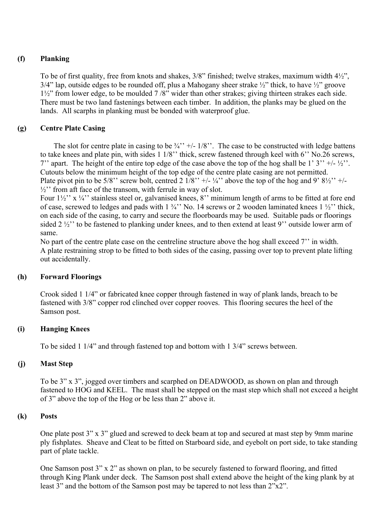### **(f) Planking**

To be of first quality, free from knots and shakes, 3/8" finished; twelve strakes, maximum width 4½",  $3/4$ " lap, outside edges to be rounded off, plus a Mahogany sheer strake  $\frac{1}{2}$ " thick, to have  $\frac{1}{2}$ " groove 1½" from lower edge, to be moulded 7 /8" wider than other strakes; giving thirteen strakes each side. There must be two land fastenings between each timber. In addition, the planks may be glued on the lands. All scarphs in planking must be bonded with waterproof glue.

### **(g) Centre Plate Casing**

The slot for centre plate in casing to be  $\frac{3}{4}$ " +/-  $\frac{1}{8}$ ". The case to be constructed with ledge battens to take knees and plate pin, with sides 1 1/8'' thick, screw fastened through keel with 6'' No.26 screws, 7'' apart. The height of the entire top edge of the case above the top of the hog shall be 1' 3'' +/-  $\frac{1}{2}$ ''. Cutouts below the minimum height of the top edge of the centre plate casing are not permitted. Plate pivot pin to be 5/8" screw bolt, centred 2  $1/8$ " +/-  $\frac{1}{4}$ " above the top of the hog and 9'  $\frac{81}{2}$ " +/- $\frac{1}{2}$ " from aft face of the transom, with ferrule in way of slot.

Four  $1\frac{1}{2}$ " x  $\frac{1}{4}$ " stainless steel or, galvanised knees, 8" minimum length of arms to be fitted at fore end of case, screwed to ledges and pads with  $1\frac{3}{4}$ " No. 14 screws or 2 wooden laminated knees  $1\frac{1}{2}$ " thick, on each side of the casing, to carry and secure the floorboards may be used. Suitable pads or floorings sided 2 ½'' to be fastened to planking under knees, and to then extend at least 9'' outside lower arm of same.

No part of the centre plate case on the centreline structure above the hog shall exceed 7'' in width. A plate restraining strop to be fitted to both sides of the casing, passing over top to prevent plate lifting out accidentally.

### **(h) Forward Floorings**

Crook sided 1 1/4" or fabricated knee copper through fastened in way of plank lands, breach to be fastened with 3/8" copper rod clinched over copper rooves. This flooring secures the heel of the Samson post.

### **(i) Hanging Knees**

To be sided 1 1/4" and through fastened top and bottom with 1 3/4" screws between.

### **(j) Mast Step**

To be 3" x 3", jogged over timbers and scarphed on DEADWOOD, as shown on plan and through fastened to HOG and KEEL. The mast shall be stepped on the mast step which shall not exceed a height of 3" above the top of the Hog or be less than 2" above it.

### **(k) Posts**

One plate post 3" x 3" glued and screwed to deck beam at top and secured at mast step by 9mm marine ply fishplates. Sheave and Cleat to be fitted on Starboard side, and eyebolt on port side, to take standing part of plate tackle.

One Samson post 3" x 2" as shown on plan, to be securely fastened to forward flooring, and fitted through King Plank under deck. The Samson post shall extend above the height of the king plank by at least 3" and the bottom of the Samson post may be tapered to not less than  $2^{n}x2^{n}$ .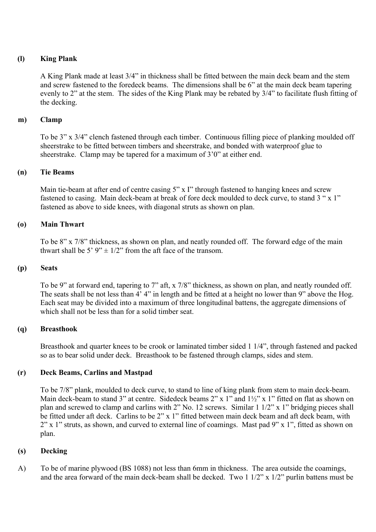### **(l) King Plank**

A King Plank made at least 3/4" in thickness shall be fitted between the main deck beam and the stem and screw fastened to the foredeck beams. The dimensions shall be 6" at the main deck beam tapering evenly to 2" at the stem. The sides of the King Plank may be rebated by 3/4" to facilitate flush fitting of the decking.

### **m) Clamp**

To be 3" x 3/4" clench fastened through each timber. Continuous filling piece of planking moulded off sheerstrake to be fitted between timbers and sheerstrake, and bonded with waterproof glue to sheerstrake. Clamp may be tapered for a maximum of 3'0" at either end.

### **(n) Tie Beams**

Main tie-beam at after end of centre casing 5" x I" through fastened to hanging knees and screw fastened to casing. Main deck-beam at break of fore deck moulded to deck curve, to stand 3 " x 1" fastened as above to side knees, with diagonal struts as shown on plan.

### **(o) Main Thwart**

To be 8" x 7/8" thickness, as shown on plan, and neatly rounded off. The forward edge of the main thwart shall be 5'  $9'' \pm 1/2''$  from the aft face of the transom.

#### **(p) Seats**

To be 9" at forward end, tapering to 7" aft, x 7/8" thickness, as shown on plan, and neatly rounded off. The seats shall be not less than 4' 4" in length and be fitted at a height no lower than 9" above the Hog. Each seat may be divided into a maximum of three longitudinal battens, the aggregate dimensions of which shall not be less than for a solid timber seat.

### **(q) Breasthook**

Breasthook and quarter knees to be crook or laminated timber sided 1 1/4", through fastened and packed so as to bear solid under deck. Breasthook to be fastened through clamps, sides and stem.

### **(r) Deck Beams, Carlins and Mastpad**

To be 7/8" plank, moulded to deck curve, to stand to line of king plank from stem to main deck-beam. Main deck-beam to stand 3" at centre. Sidedeck beams  $2$ " x 1" and  $1\frac{1}{2}$ " x 1" fitted on flat as shown on plan and screwed to clamp and carlins with 2" No. 12 screws. Similar 1 1/2" x 1" bridging pieces shall be fitted under aft deck. Carlins to be 2" x 1" fitted between main deck beam and aft deck beam, with 2" x 1" struts, as shown, and curved to external line of coamings. Mast pad 9" x 1", fitted as shown on plan.

#### **(s) Decking**

A) To be of marine plywood (BS 1088) not less than 6mm in thickness. The area outside the coamings, and the area forward of the main deck-beam shall be decked. Two 1 1/2" x 1/2" purlin battens must be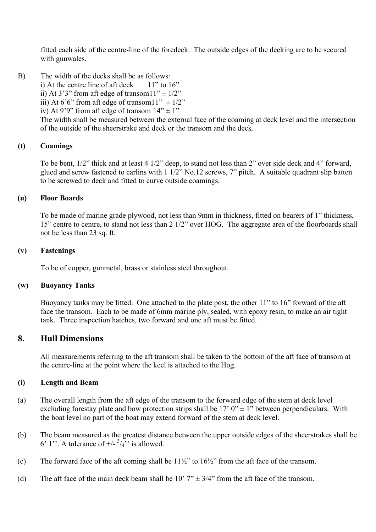fitted each side of the centre-line of the foredeck. The outside edges of the decking are to be secured with gunwales.

B) The width of the decks shall be as follows: i) At the centre line of aft deck  $11"$  to  $16"$ ii) At 3'3" from aft edge of transom $11" \pm 1/2"$ iii) At 6'6" from aft edge of transom $11" \pm 1/2"$ iv) At 9'9" from aft edge of transom  $14" \pm 1"$ The width shall be measured between the external face of the coaming at deck level and the intersection of the outside of the sheerstrake and deck or the transom and the deck.

#### **(t) Coamings**

To be bent, 1/2" thick and at least 4 1/2" deep, to stand not less than 2" over side deck and 4" forward, glued and screw fastened to carlins with 1 1/2" No.12 screws, 7" pitch. A suitable quadrant slip batten to be screwed to deck and fitted to curve outside coamings.

### **(u) Floor Boards**

To be made of marine grade plywood, not less than 9mm in thickness, fitted on bearers of 1" thickness, 15" centre to centre, to stand not less than 2 1/2" over HOG. The aggregate area of the floorboards shall not be less than 23 sq. ft.

#### **(v) Fastenings**

To be of copper, gunmetal, brass or stainless steel throughout.

#### **(w) Buoyancy Tanks**

Buoyancy tanks may be fitted. One attached to the plate post, the other 11" to 16" forward of the aft face the transom. Each to be made of 6mm marine ply, sealed, with epoxy resin, to make an air tight tank. Three inspection hatches, two forward and one aft must be fitted.

### **8. Hull Dimensions**

All measurements referring to the aft transom shall be taken to the bottom of the aft face of transom at the centre-line at the point where the keel is attached to the Hog.

#### **(i) Length and Beam**

- (a) The overall length from the aft edge of the transom to the forward edge of the stem at deck level excluding forestay plate and bow protection strips shall be  $17' 0'' \pm 1''$  between perpendiculars. With the boat level no part of the boat may extend forward of the stem at deck level.
- (b) The beam measured as the greatest distance between the upper outside edges of the sheerstrakes shall be 6' 1''. A tolerance of  $+/- \frac{3}{4}$ '' is allowed.
- (c) The forward face of the aft coming shall be  $11\frac{1}{2}$ " to  $16\frac{1}{2}$ " from the aft face of the transom.
- (d) The aft face of the main deck beam shall be 10'  $7$ "  $\pm$  3/4" from the aft face of the transom.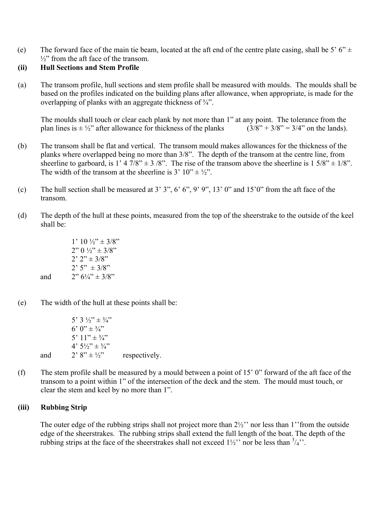(e) The forward face of the main tie beam, located at the aft end of the centre plate casing, shall be 5' 6"  $\pm$  $\frac{1}{2}$ " from the aft face of the transom.

### **(ii) Hull Sections and Stem Profile**

(a) The transom profile, hull sections and stem profile shall be measured with moulds. The moulds shall be based on the profiles indicated on the building plans after allowance, when appropriate, is made for the overlapping of planks with an aggregate thickness of ¾".

The moulds shall touch or clear each plank by not more than 1" at any point. The tolerance from the plan lines is  $\pm \frac{1}{2}$ " after allowance for thickness of the planks  $(3/8" + 3/8" = 3/4"$  on the lands). plan lines is  $\pm \frac{1}{2}$ " after allowance for thickness of the planks

- (b) The transom shall be flat and vertical. The transom mould makes allowances for the thickness of the planks where overlapped being no more than 3/8". The depth of the transom at the centre line, from sheerline to garboard, is 1' 4 7/8"  $\pm$  3 /8". The rise of the transom above the sheerline is 1 5/8"  $\pm$  1/8". The width of the transom at the sheerline is 3'  $10'' \pm \frac{1}{2}$ ".
- (c) The hull section shall be measured at  $3'$   $3''$ ,  $6'$   $6''$ ,  $9'$   $9''$ ,  $13'$   $0''$  and  $15'0''$  from the aft face of the transom.
- (d) The depth of the hull at these points, measured from the top of the sheerstrake to the outside of the keel shall be:

| $1'$ 10 $\frac{1}{2}$ $\pm$ 3/8"                     |
|------------------------------------------------------|
| $2''$ () $\frac{1}{2}$ $\div$ $\pm$ 3/8 <sup>"</sup> |
| $2'$ $2'' \pm 3/8''$                                 |
| $2'5'' \pm 3/8''$                                    |
| $2''$ 6 <sup>1</sup> / <sub>4</sub> " $\pm$ 3/8"     |

(e) The width of the hull at these points shall be:

|     | 5' 3 $\frac{1}{2}$ $\pm \frac{3}{4}$ "                       |               |
|-----|--------------------------------------------------------------|---------------|
|     | 6' $0'' \pm \frac{3}{4}''$                                   |               |
|     | 5' $11'' + \frac{3}{4}''$                                    |               |
|     | $4'$ 5 <sup>1</sup> / <sub>2</sub> " $\pm$ 3/ <sub>4</sub> " |               |
| and | $2'$ 8" $\pm 1/$ "                                           | respectively. |

(f) The stem profile shall be measured by a mould between a point of 15' 0" forward of the aft face of the transom to a point within 1" of the intersection of the deck and the stem. The mould must touch, or clear the stem and keel by no more than 1".

#### **(iii) Rubbing Strip**

and

The outer edge of the rubbing strips shall not project more than 2½'' nor less than 1''from the outside edge of the sheerstrakes. The rubbing strips shall extend the full length of the boat. The depth of the rubbing strips at the face of the sheerstrakes shall not exceed  $1\frac{1}{2}$ " nor be less than  $\frac{3}{4}$ ".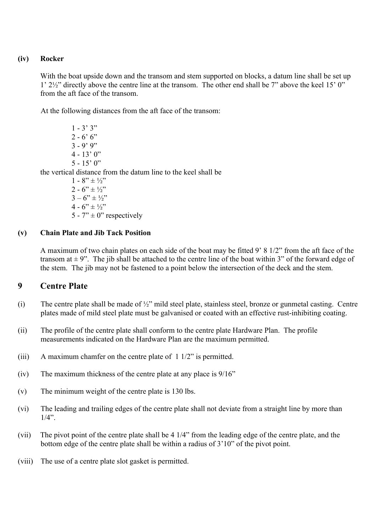### **(iv) Rocker**

With the boat upside down and the transom and stem supported on blocks, a datum line shall be set up 1' 2½" directly above the centre line at the transom. The other end shall be 7" above the keel 15' 0" from the aft face of the transom.

At the following distances from the aft face of the transom:

 $1 - 3' 3"$  $2 - 6' 6''$  $3 - 9'9''$  $4 - 13'0''$  $5 - 15' 0''$ the vertical distance from the datum line to the keel shall be  $1 - 8$ "  $\pm \frac{1}{2}$ "  $2 - 6$ "  $\pm \frac{1}{2}$ "  $3 - 6$ "  $\pm 1/2$ "  $4 - 6$ "  $\pm \frac{1}{2}$ "

5 -  $7'' \pm 0''$  respectively

### **(v) Chain Plate and Jib Tack Position**

A maximum of two chain plates on each side of the boat may be fitted 9' 8 1/2" from the aft face of the transom at  $\pm$  9". The jib shall be attached to the centre line of the boat within 3" of the forward edge of the stem. The jib may not be fastened to a point below the intersection of the deck and the stem.

### **9 Centre Plate**

- (i) The centre plate shall be made of ½" mild steel plate, stainless steel, bronze or gunmetal casting. Centre plates made of mild steel plate must be galvanised or coated with an effective rust-inhibiting coating.
- (ii) The profile of the centre plate shall conform to the centre plate Hardware Plan. The profile measurements indicated on the Hardware Plan are the maximum permitted.
- (iii) A maximum chamfer on the centre plate of 1 1/2" is permitted.
- (iv) The maximum thickness of the centre plate at any place is 9/16"
- (v) The minimum weight of the centre plate is 130 lbs.
- (vi) The leading and trailing edges of the centre plate shall not deviate from a straight line by more than  $1/4$ ".
- (vii) The pivot point of the centre plate shall be 4 1/4" from the leading edge of the centre plate, and the bottom edge of the centre plate shall be within a radius of 3'10" of the pivot point.
- (viii) The use of a centre plate slot gasket is permitted.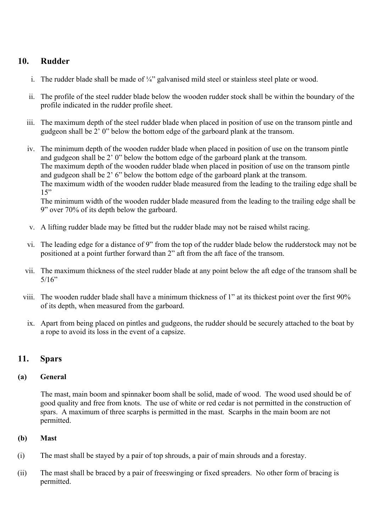## **10. Rudder**

- i. The rudder blade shall be made of  $\frac{1}{4}$ " galvanised mild steel or stainless steel plate or wood.
- ii. The profile of the steel rudder blade below the wooden rudder stock shall be within the boundary of the profile indicated in the rudder profile sheet.
- iii. The maximum depth of the steel rudder blade when placed in position of use on the transom pintle and gudgeon shall be 2' 0" below the bottom edge of the garboard plank at the transom.
- iv. The minimum depth of the wooden rudder blade when placed in position of use on the transom pintle and gudgeon shall be 2' 0" below the bottom edge of the garboard plank at the transom. The maximum depth of the wooden rudder blade when placed in position of use on the transom pintle and gudgeon shall be 2' 6" below the bottom edge of the garboard plank at the transom. The maximum width of the wooden rudder blade measured from the leading to the trailing edge shall be  $15"$

The minimum width of the wooden rudder blade measured from the leading to the trailing edge shall be 9" over 70% of its depth below the garboard.

- v. A lifting rudder blade may be fitted but the rudder blade may not be raised whilst racing.
- vi. The leading edge for a distance of 9" from the top of the rudder blade below the rudderstock may not be positioned at a point further forward than 2" aft from the aft face of the transom.
- vii. The maximum thickness of the steel rudder blade at any point below the aft edge of the transom shall be  $5/16"$
- viii. The wooden rudder blade shall have a minimum thickness of 1" at its thickest point over the first 90% of its depth, when measured from the garboard.
	- ix. Apart from being placed on pintles and gudgeons, the rudder should be securely attached to the boat by a rope to avoid its loss in the event of a capsize.

### **11. Spars**

### **(a) General**

The mast, main boom and spinnaker boom shall be solid, made of wood. The wood used should be of good quality and free from knots. The use of white or red cedar is not permitted in the construction of spars. A maximum of three scarphs is permitted in the mast. Scarphs in the main boom are not permitted.

#### **(b) Mast**

- (i) The mast shall be stayed by a pair of top shrouds, a pair of main shrouds and a forestay.
- (ii) The mast shall be braced by a pair of freeswinging or fixed spreaders. No other form of bracing is permitted.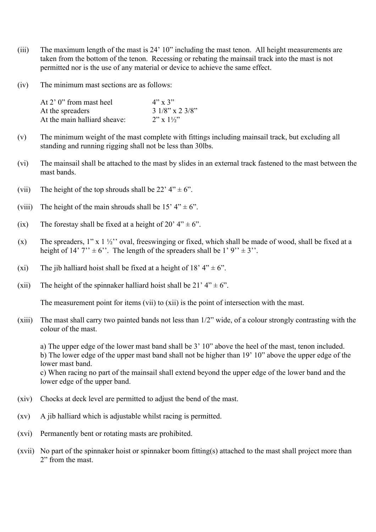- (iii) The maximum length of the mast is 24' 10" including the mast tenon. All height measurements are taken from the bottom of the tenon. Recessing or rebating the mainsail track into the mast is not permitted nor is the use of any material or device to achieve the same effect.
- (iv) The minimum mast sections are as follows:

| At 2' 0" from mast heel      | $4"$ x 3"              |
|------------------------------|------------------------|
| At the spreaders             | $31/8$ " x 2 3/8"      |
| At the main halliard sheave: | $2''$ x $1\frac{1}{2}$ |

- (v) The minimum weight of the mast complete with fittings including mainsail track, but excluding all standing and running rigging shall not be less than 30lbs.
- (vi) The mainsail shall be attached to the mast by slides in an external track fastened to the mast between the mast bands.
- (vii) The height of the top shrouds shall be 22' 4"  $\pm$  6".
- (viii) The height of the main shrouds shall be 15'  $4" \pm 6"$ .
- (ix) The forestay shall be fixed at a height of 20'  $4" \pm 6"$ .
- (x) The spreaders,  $1''$  x  $1\frac{1}{2}''$  oval, freeswinging or fixed, which shall be made of wood, shall be fixed at a height of 14'  $7$ "  $\pm$  6". The length of the spreaders shall be 1'  $9$ "  $\pm$  3".
- (xi) The jib halliard hoist shall be fixed at a height of 18' 4"  $\pm$  6".
- (xii) The height of the spinnaker halliard hoist shall be 21'  $4" \pm 6"$ .

The measurement point for items (vii) to (xii) is the point of intersection with the mast.

(xiii) The mast shall carry two painted bands not less than 1/2" wide, of a colour strongly contrasting with the colour of the mast.

a) The upper edge of the lower mast band shall be 3' 10" above the heel of the mast, tenon included. b) The lower edge of the upper mast band shall not be higher than 19' 10" above the upper edge of the lower mast band.

c) When racing no part of the mainsail shall extend beyond the upper edge of the lower band and the lower edge of the upper band.

- (xiv) Chocks at deck level are permitted to adjust the bend of the mast.
- (xv) A jib halliard which is adjustable whilst racing is permitted.
- (xvi) Permanently bent or rotating masts are prohibited.
- (xvii) No part of the spinnaker hoist or spinnaker boom fitting(s) attached to the mast shall project more than 2" from the mast.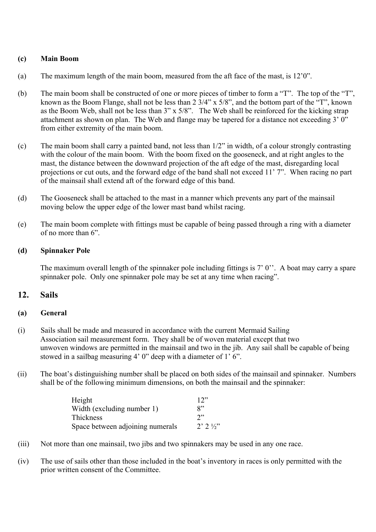#### **(c) Main Boom**

- (a) The maximum length of the main boom, measured from the aft face of the mast, is 12'0".
- (b) The main boom shall be constructed of one or more pieces of timber to form a "T". The top of the "T", known as the Boom Flange, shall not be less than 2 3/4" x 5/8", and the bottom part of the "T", known as the Boom Web, shall not be less than 3" x 5/8". The Web shall be reinforced for the kicking strap attachment as shown on plan. The Web and flange may be tapered for a distance not exceeding  $3'$   $0''$ from either extremity of the main boom.
- (c) The main boom shall carry a painted band, not less than 1/2" in width, of a colour strongly contrasting with the colour of the main boom. With the boom fixed on the gooseneck, and at right angles to the mast, the distance between the downward projection of the aft edge of the mast, disregarding local projections or cut outs, and the forward edge of the band shall not exceed 11' 7". When racing no part of the mainsail shall extend aft of the forward edge of this band.
- (d) The Gooseneck shall be attached to the mast in a manner which prevents any part of the mainsail moving below the upper edge of the lower mast band whilst racing.
- (e) The main boom complete with fittings must be capable of being passed through a ring with a diameter of no more than 6".

#### **(d) Spinnaker Pole**

The maximum overall length of the spinnaker pole including fittings is 7' 0''. A boat may carry a spare spinnaker pole. Only one spinnaker pole may be set at any time when racing".

### **12. Sails**

#### **(a) General**

- (i) Sails shall be made and measured in accordance with the current Mermaid Sailing Association sail measurement form. They shall be of woven material except that two unwoven windows are permitted in the mainsail and two in the jib. Any sail shall be capable of being stowed in a sailbag measuring 4' 0" deep with a diameter of 1' 6".
- (ii) The boat's distinguishing number shall be placed on both sides of the mainsail and spinnaker. Numbers shall be of the following minimum dimensions, on both the mainsail and the spinnaker:

| Height                           | 12"                      |
|----------------------------------|--------------------------|
| Width (excluding number 1)       | $R$ "                    |
| Thickness                        | 2"                       |
| Space between adjoining numerals | $2'$ $2'$ $\frac{1}{2}'$ |

- (iii) Not more than one mainsail, two jibs and two spinnakers may be used in any one race.
- (iv) The use of sails other than those included in the boat's inventory in races is only permitted with the prior written consent of the Committee.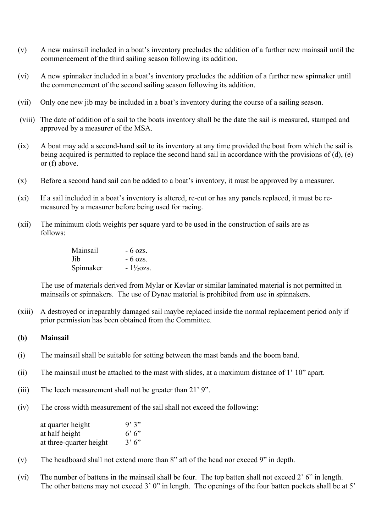- (v) A new mainsail included in a boat's inventory precludes the addition of a further new mainsail until the commencement of the third sailing season following its addition.
- (vi) A new spinnaker included in a boat's inventory precludes the addition of a further new spinnaker until the commencement of the second sailing season following its addition.
- (vii) Only one new jib may be included in a boat's inventory during the course of a sailing season.
- (viii) The date of addition of a sail to the boats inventory shall be the date the sail is measured, stamped and approved by a measurer of the MSA.
- (ix) A boat may add a second-hand sail to its inventory at any time provided the boat from which the sail is being acquired is permitted to replace the second hand sail in accordance with the provisions of (d), (e) or (f) above.
- (x) Before a second hand sail can be added to a boat's inventory, it must be approved by a measurer.
- (xi) If a sail included in a boat's inventory is altered, re-cut or has any panels replaced, it must be remeasured by a measurer before being used for racing.
- (xii) The minimum cloth weights per square yard to be used in the construction of sails are as follows:
	- Mainsail 6 ozs.  $Jib$  - 6 ozs. Spinnaker -  $1\frac{1}{2}$ ozs.

The use of materials derived from Mylar or Kevlar or similar laminated material is not permitted in mainsails or spinnakers. The use of Dynac material is prohibited from use in spinnakers.

(xiii) A destroyed or irreparably damaged sail maybe replaced inside the normal replacement period only if prior permission has been obtained from the Committee.

#### **(b) Mainsail**

- (i) The mainsail shall be suitable for setting between the mast bands and the boom band.
- (ii) The mainsail must be attached to the mast with slides, at a maximum distance of 1' 10" apart.
- (iii) The leech measurement shall not be greater than 21' 9".
- (iv) The cross width measurement of the sail shall not exceed the following:

| at quarter height       | 9'3"  |
|-------------------------|-------|
| at half height          | 6'6'' |
| at three-quarter height | 3'6'' |

- (v) The headboard shall not extend more than 8" aft of the head nor exceed 9" in depth.
- (vi) The number of battens in the mainsail shall be four. The top batten shall not exceed 2' 6" in length. The other battens may not exceed 3' 0" in length. The openings of the four batten pockets shall be at 5'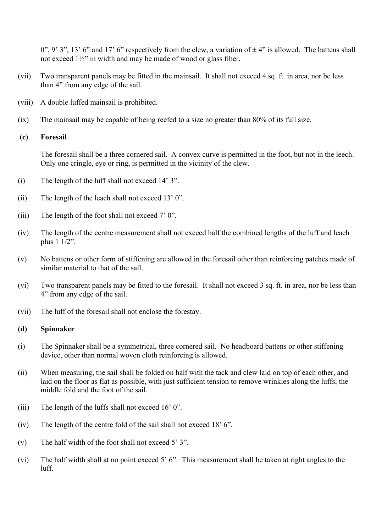0", 9' 3", 13' 6" and 17' 6" respectively from the clew, a variation of  $\pm$  4" is allowed. The battens shall not exceed 1½" in width and may be made of wood or glass fiber.

- (vii) Two transparent panels may be fitted in the mainsail. It shall not exceed 4 sq. ft. in area, nor be less than 4" from any edge of the sail.
- (viii) A double luffed mainsail is prohibited.
- (ix) The mainsail may be capable of being reefed to a size no greater than 80% of its full size.

#### **(c) Foresail**

The foresail shall be a three cornered sail. A convex curve is permitted in the foot, but not in the leech. Only one cringle, eye or ring, is permitted in the vicinity of the clew.

- (i) The length of the luff shall not exceed 14' 3".
- (ii) The length of the leach shall not exceed 13' 0".
- (iii) The length of the foot shall not exceed 7' 0".
- (iv) The length of the centre measurement shall not exceed half the combined lengths of the luff and leach plus 1 1/2".
- (v) No battens or other form of stiffening are allowed in the foresail other than reinforcing patches made of similar material to that of the sail.
- (vi) Two transparent panels may be fitted to the foresail. It shall not exceed 3 sq. ft. in area, nor be less than 4" from any edge of the sail.
- (vii) The luff of the foresail shall not enclose the forestay.

#### **(d) Spinnaker**

- (i) The Spinnaker shall be a symmetrical, three cornered sail. No headboard battens or other stiffening device, other than normal woven cloth reinforcing is allowed.
- (ii) When measuring, the sail shall be folded on half with the tack and clew laid on top of each other, and laid on the floor as flat as possible, with just sufficient tension to remove wrinkles along the luffs, the middle fold and the foot of the sail.
- (iii) The length of the luffs shall not exceed 16' 0".
- (iv) The length of the centre fold of the sail shall not exceed 18' 6".
- (v) The half width of the foot shall not exceed 5' 3".
- (vi) The half width shall at no point exceed 5' 6". This measurement shall be taken at right angles to the luff.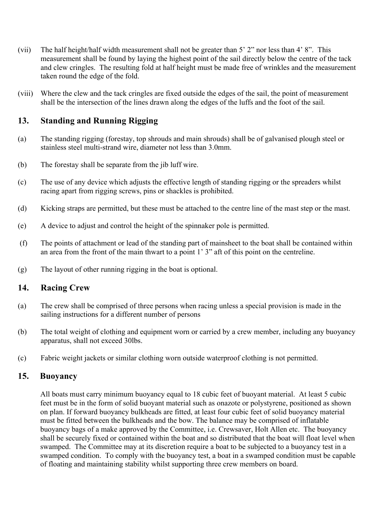- (vii) The half height/half width measurement shall not be greater than 5' 2" nor less than 4' 8". This measurement shall be found by laying the highest point of the sail directly below the centre of the tack and clew cringles. The resulting fold at half height must be made free of wrinkles and the measurement taken round the edge of the fold.
- (viii) Where the clew and the tack cringles are fixed outside the edges of the sail, the point of measurement shall be the intersection of the lines drawn along the edges of the luffs and the foot of the sail.

### **13. Standing and Running Rigging**

- (a) The standing rigging (forestay, top shrouds and main shrouds) shall be of galvanised plough steel or stainless steel multi-strand wire, diameter not less than 3.0mm.
- (b) The forestay shall be separate from the jib luff wire.
- (c) The use of any device which adjusts the effective length of standing rigging or the spreaders whilst racing apart from rigging screws, pins or shackles is prohibited.
- (d) Kicking straps are permitted, but these must be attached to the centre line of the mast step or the mast.
- (e) A device to adjust and control the height of the spinnaker pole is permitted.
- (f) The points of attachment or lead of the standing part of mainsheet to the boat shall be contained within an area from the front of the main thwart to a point 1' 3" aft of this point on the centreline.
- (g) The layout of other running rigging in the boat is optional.

### **14. Racing Crew**

- (a) The crew shall be comprised of three persons when racing unless a special provision is made in the sailing instructions for a different number of persons
- (b) The total weight of clothing and equipment worn or carried by a crew member, including any buoyancy apparatus, shall not exceed 30lbs.
- (c) Fabric weight jackets or similar clothing worn outside waterproof clothing is not permitted.

### **15. Buoyancy**

All boats must carry minimum buoyancy equal to 18 cubic feet of buoyant material. At least 5 cubic feet must be in the form of solid buoyant material such as onazote or polystyrene, positioned as shown on plan. If forward buoyancy bulkheads are fitted, at least four cubic feet of solid buoyancy material must be fitted between the bulkheads and the bow. The balance may be comprised of inflatable buoyancy bags of a make approved by the Committee, i.e. Crewsaver, Holt Allen etc. The buoyancy shall be securely fixed or contained within the boat and so distributed that the boat will float level when swamped. The Committee may at its discretion require a boat to be subjected to a buoyancy test in a swamped condition. To comply with the buoyancy test, a boat in a swamped condition must be capable of floating and maintaining stability whilst supporting three crew members on board.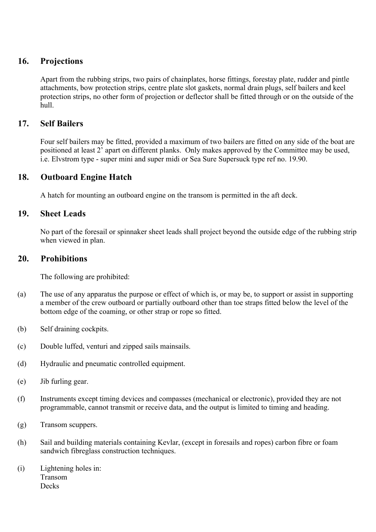### **16. Projections**

Apart from the rubbing strips, two pairs of chainplates, horse fittings, forestay plate, rudder and pintle attachments, bow protection strips, centre plate slot gaskets, normal drain plugs, self bailers and keel protection strips, no other form of projection or deflector shall be fitted through or on the outside of the hull.

### **17. Self Bailers**

Four self bailers may be fitted, provided a maximum of two bailers are fitted on any side of the boat are positioned at least 2' apart on different planks. Only makes approved by the Committee may be used, i.e. Elvstrom type - super mini and super midi or Sea Sure Supersuck type ref no. 19.90.

### **18. Outboard Engine Hatch**

A hatch for mounting an outboard engine on the transom is permitted in the aft deck.

### **19. Sheet Leads**

No part of the foresail or spinnaker sheet leads shall project beyond the outside edge of the rubbing strip when viewed in plan.

### **20. Prohibitions**

The following are prohibited:

- (a) The use of any apparatus the purpose or effect of which is, or may be, to support or assist in supporting a member of the crew outboard or partially outboard other than toe straps fitted below the level of the bottom edge of the coaming, or other strap or rope so fitted.
- (b) Self draining cockpits.
- (c) Double luffed, venturi and zipped sails mainsails.
- (d) Hydraulic and pneumatic controlled equipment.
- (e) Jib furling gear.
- (f) Instruments except timing devices and compasses (mechanical or electronic), provided they are not programmable, cannot transmit or receive data, and the output is limited to timing and heading.
- (g) Transom scuppers.
- (h) Sail and building materials containing Kevlar, (except in foresails and ropes) carbon fibre or foam sandwich fibreglass construction techniques.
- (i) Lightening holes in: Transom **Decks**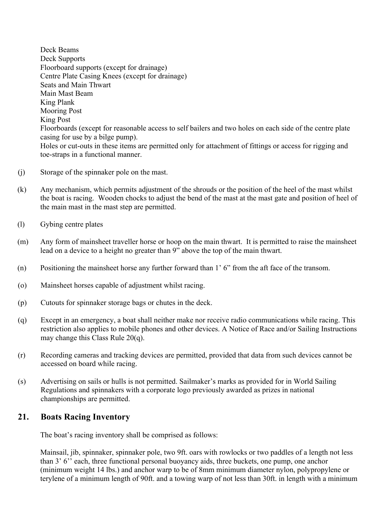Deck Beams Deck Supports Floorboard supports (except for drainage) Centre Plate Casing Knees (except for drainage) Seats and Main Thwart Main Mast Beam King Plank Mooring Post King Post Floorboards (except for reasonable access to self bailers and two holes on each side of the centre plate casing for use by a bilge pump). Holes or cut-outs in these items are permitted only for attachment of fittings or access for rigging and toe-straps in a functional manner.

- (j) Storage of the spinnaker pole on the mast.
- (k) Any mechanism, which permits adjustment of the shrouds or the position of the heel of the mast whilst the boat is racing. Wooden chocks to adjust the bend of the mast at the mast gate and position of heel of the main mast in the mast step are permitted.
- (l) Gybing centre plates
- (m) Any form of mainsheet traveller horse or hoop on the main thwart. It is permitted to raise the mainsheet lead on a device to a height no greater than 9" above the top of the main thwart.
- (n) Positioning the mainsheet horse any further forward than 1' 6" from the aft face of the transom.
- (o) Mainsheet horses capable of adjustment whilst racing.
- (p) Cutouts for spinnaker storage bags or chutes in the deck.
- (q) Except in an emergency, a boat shall neither make nor receive radio communications while racing. This restriction also applies to mobile phones and other devices. A Notice of Race and/or Sailing Instructions may change this Class Rule 20(q).
- (r) Recording cameras and tracking devices are permitted, provided that data from such devices cannot be accessed on board while racing.
- (s) Advertising on sails or hulls is not permitted. Sailmaker's marks as provided for in World Sailing Regulations and spinnakers with a corporate logo previously awarded as prizes in national championships are permitted.

### **21. Boats Racing Inventory**

The boat's racing inventory shall be comprised as follows:

Mainsail, jib, spinnaker, spinnaker pole, two 9ft. oars with rowlocks or two paddles of a length not less than 3' 6'' each, three functional personal buoyancy aids, three buckets, one pump, one anchor (minimum weight 14 lbs.) and anchor warp to be of 8mm minimum diameter nylon, polypropylene or terylene of a minimum length of 90ft. and a towing warp of not less than 30ft. in length with a minimum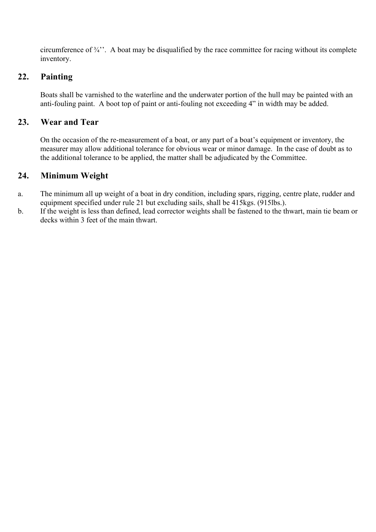circumference of  $\frac{3}{4}$ . A boat may be disqualified by the race committee for racing without its complete inventory.

# **22. Painting**

Boats shall be varnished to the waterline and the underwater portion of the hull may be painted with an anti-fouling paint. A boot top of paint or anti-fouling not exceeding 4" in width may be added.

### **23. Wear and Tear**

On the occasion of the re-measurement of a boat, or any part of a boat's equipment or inventory, the measurer may allow additional tolerance for obvious wear or minor damage. In the case of doubt as to the additional tolerance to be applied, the matter shall be adjudicated by the Committee.

## **24. Minimum Weight**

- a. The minimum all up weight of a boat in dry condition, including spars, rigging, centre plate, rudder and equipment specified under rule 21 but excluding sails, shall be 415kgs. (915lbs.).
- b. If the weight is less than defined, lead corrector weights shall be fastened to the thwart, main tie beam or decks within 3 feet of the main thwart.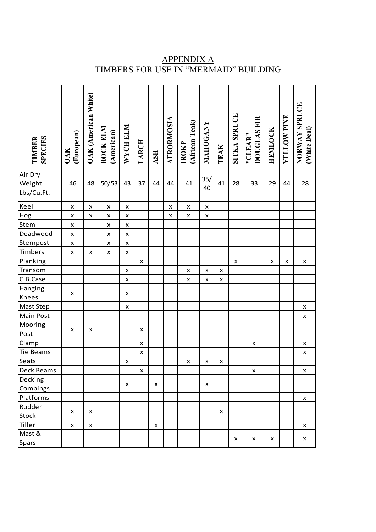| <b>SPECIES</b><br><b>TIMBER</b> | (European)<br><b>OAK</b> | OAK (American White) | ROCK ELM<br>(American) | WYCH ELM       | LARCH              | <b>ASH</b>         | AFRORMOSIA     | (African Teak)<br><b>IROKP</b> | MAHOGANY           | TEAK           | <b>SITKA SPRUCE</b> | <b>DOUGLAS FIR</b><br>"CLEAR" | <b>HEMLOCK</b> | YELLOW PINE | NORWAY SPRUCE<br>(White Deal) |
|---------------------------------|--------------------------|----------------------|------------------------|----------------|--------------------|--------------------|----------------|--------------------------------|--------------------|----------------|---------------------|-------------------------------|----------------|-------------|-------------------------------|
| Air Dry                         |                          |                      |                        |                |                    |                    |                |                                |                    |                |                     |                               |                |             |                               |
| Weight<br>Lbs/Cu.Ft.            | 46                       | 48                   | 50/53                  | 43             | 37                 | 44                 | 44             | 41                             | 35/<br>40          | 41             | 28                  | 33                            | 29             | 44          | 28                            |
| Keel                            | $\pmb{\times}$           | X                    | $\pmb{\times}$         | $\pmb{\times}$ |                    |                    | $\pmb{\times}$ | $\pmb{\times}$                 | $\pmb{\mathsf{x}}$ |                |                     |                               |                |             |                               |
| Hog                             | $\pmb{\mathsf{x}}$       | x                    | $\pmb{\times}$         | $\pmb{\times}$ |                    |                    | $\pmb{\times}$ | $\pmb{\times}$                 | $\pmb{\times}$     |                |                     |                               |                |             |                               |
| Stem                            | $\pmb{\mathsf{X}}$       |                      | X                      | X              |                    |                    |                |                                |                    |                |                     |                               |                |             |                               |
| Deadwood                        | $\pmb{\mathsf{X}}$       |                      | X                      | $\pmb{\times}$ |                    |                    |                |                                |                    |                |                     |                               |                |             |                               |
| Sternpost                       | $\pmb{\times}$           |                      | X                      | X              |                    |                    |                |                                |                    |                |                     |                               |                |             |                               |
| Timbers                         | $\pmb{\times}$           | x                    | $\pmb{\times}$         | $\pmb{\times}$ |                    |                    |                |                                |                    |                |                     |                               |                |             |                               |
| Planking                        |                          |                      |                        |                | X                  |                    |                |                                |                    |                | $\pmb{\times}$      |                               | $\pmb{\times}$ | x           | x                             |
| Transom                         |                          |                      |                        | X              |                    |                    |                | X                              | X                  | x              |                     |                               |                |             |                               |
| C.B.Case                        |                          |                      |                        | $\pmb{\times}$ |                    |                    |                | X                              | X                  | $\pmb{\times}$ |                     |                               |                |             |                               |
| Hanging<br><b>Knees</b>         | X                        |                      |                        | x              |                    |                    |                |                                |                    |                |                     |                               |                |             |                               |
| Mast Step                       |                          |                      |                        | $\pmb{\times}$ |                    |                    |                |                                |                    |                |                     |                               |                |             | $\pmb{\mathsf{x}}$            |
| Main Post                       |                          |                      |                        |                |                    |                    |                |                                |                    |                |                     |                               |                |             | x                             |
| Mooring<br>Post                 | x                        | x                    |                        |                | x                  |                    |                |                                |                    |                |                     |                               |                |             |                               |
| Clamp                           |                          |                      |                        |                | $\pmb{\mathsf{x}}$ |                    |                |                                |                    |                |                     | x                             |                |             | x                             |
| Tie Beams                       |                          |                      |                        |                | $\pmb{\mathsf{x}}$ |                    |                |                                |                    |                |                     |                               |                |             | $\pmb{\mathsf{x}}$            |
| Seats                           |                          |                      |                        | X              |                    |                    |                | X                              | x                  | X              |                     |                               |                |             |                               |
| Deck Beams                      |                          |                      |                        |                | $\pmb{\mathsf{x}}$ |                    |                |                                |                    |                |                     | X                             |                |             | $\pmb{\mathsf{X}}$            |
| Decking                         |                          |                      |                        | x              |                    | x                  |                |                                | X                  |                |                     |                               |                |             |                               |
| Combings                        |                          |                      |                        |                |                    |                    |                |                                |                    |                |                     |                               |                |             |                               |
| Platforms                       |                          |                      |                        |                |                    |                    |                |                                |                    |                |                     |                               |                |             | x                             |
| Rudder                          | x                        | x                    |                        |                |                    |                    |                |                                |                    | X              |                     |                               |                |             |                               |
| Stock                           |                          |                      |                        |                |                    |                    |                |                                |                    |                |                     |                               |                |             |                               |
| Tiller                          | $\pmb{\times}$           | $\pmb{\mathsf{x}}$   |                        |                |                    | $\pmb{\mathsf{x}}$ |                |                                |                    |                |                     |                               |                |             | X                             |
| Mast &                          |                          |                      |                        |                |                    |                    |                |                                |                    |                |                     |                               |                |             |                               |
| Spars                           |                          |                      |                        |                |                    |                    |                |                                |                    |                | X                   | x                             | X              |             | x                             |

APPENDIX A TIMBERS FOR USE IN "MERMAID" BUILDING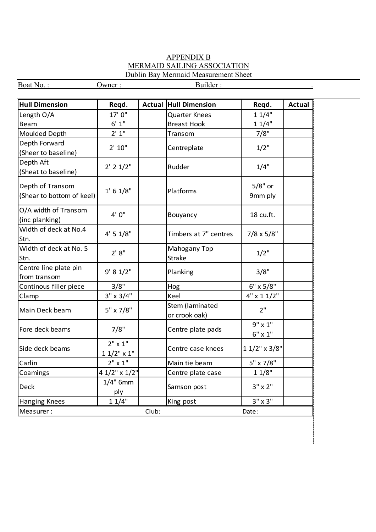#### APPENDIX B MERMAID SAILING ASSOCIATION Dublin Bay Mermaid Measurement Sheet

| Boat No.:                                     | Owner:                          |       | Builder:                         |                                  |               |
|-----------------------------------------------|---------------------------------|-------|----------------------------------|----------------------------------|---------------|
|                                               |                                 |       |                                  |                                  |               |
| <b>Hull Dimension</b>                         | Reqd.                           |       | <b>Actual Hull Dimension</b>     | Reqd.                            | <b>Actual</b> |
| Length O/A                                    | 17' 0"                          |       | <b>Quarter Knees</b>             | 11/4"                            |               |
| <b>Beam</b>                                   | 6' 1''                          |       | <b>Breast Hook</b>               | 11/4"                            |               |
| Moulded Depth                                 | 2' 1''                          |       | Transom                          | 7/8"                             |               |
| Depth Forward<br>(Sheer to baseline)          | 2' 10''                         |       | Centreplate                      | $1/2$ "                          |               |
| Depth Aft<br>(Sheat to baseline)              | $2'$ 2 $1/2"$                   |       | Rudder                           | 1/4"                             |               |
| Depth of Transom<br>(Shear to bottom of keel) | 1' 6 1/8"                       |       | Platforms                        | $5/8"$ or<br>9mm ply             |               |
| O/A width of Transom<br>(inc planking)        | 4' 0''                          |       | Bouyancy                         | 18 cu.ft.                        |               |
| Width of deck at No.4<br>Stn.                 | 4' 5 1/8"                       |       | Timbers at 7" centres            | $7/8 \times 5/8"$                |               |
| Width of deck at No. 5<br>Stn.                | 2' 8''                          |       | Mahogany Top<br>Strake           | $1/2$ "                          |               |
| Centre line plate pin<br>from transom         | 9' 8 1/2"                       |       | Planking                         | 3/8"                             |               |
| Continous filler piece                        | 3/8"                            |       | Hog                              | 6" x 5/8"                        |               |
| Clamp                                         | $3" \times 3/4"$                |       | Keel                             | $4" \times 11/2"$                |               |
| Main Deck beam                                | 5" x 7/8"                       |       | Stem (laminated<br>or crook oak) | 2"                               |               |
| Fore deck beams                               | 7/8"                            |       | Centre plate pads                | $9" \times 1"$<br>$6" \times 1"$ |               |
| Side deck beams                               | $2" \times 1"$<br>$11/2$ " x 1" |       | Centre case knees                | $11/2$ " x 3/8"                  |               |
| Carlin                                        | $2" \times 1"$                  |       | Main tie beam                    | 5" x 7/8"                        |               |
| Coamings                                      | 4 1/2" x 1/2"                   |       | Centre plate case                | 11/8"                            |               |
| Deck                                          | $1/4"$ 6mm<br>ply               |       | Samson post                      | $3" \times 2"$                   |               |
| <b>Hanging Knees</b>                          | 11/4"                           |       | King post                        | $3" \times 3"$                   |               |
| Measurer:                                     |                                 | Club: |                                  | Date:                            |               |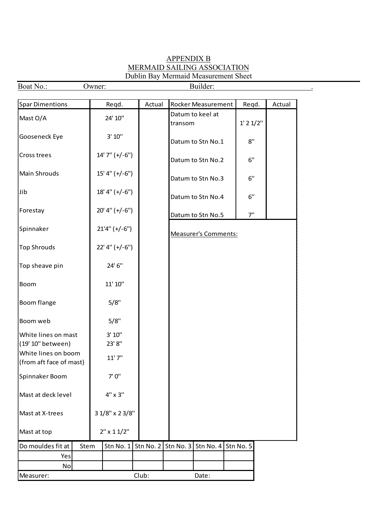### APPENDIX B MERMAID SAILING ASSOCIATION Dublin Bay Mermaid Measurement Sheet

| Boat No.:                                      |      | Owner:              |             |           | Builder:                    |               |        |
|------------------------------------------------|------|---------------------|-------------|-----------|-----------------------------|---------------|--------|
| <b>Spar Dimentions</b>                         |      | Reqd.               | Actual      |           | Rocker Measurement          | Regd.         | Actual |
| Mast O/A                                       |      | 24' 10"             |             | transom   | Datum to keel at            | $1'$ 2 $1/2"$ |        |
| Gooseneck Eye                                  |      | 3' 10''             |             |           | Datum to Stn No.1           | 8"            |        |
| Cross trees                                    |      | $14'7'' (+/-6'')$   |             |           | Datum to Stn No.2           | 6"            |        |
| Main Shrouds                                   |      | $15' 4'' (+/-6'')$  |             |           | Datum to Stn No.3           | 6"            |        |
| Jib                                            |      | $18' 4'' (+/-6'')$  |             |           | Datum to Stn No.4           | 6"            |        |
| Forestay                                       |      | $20'$ 4" (+/-6")    |             |           | Datum to Stn No.5           | 7"            |        |
| Spinnaker                                      |      | $21'4'' (+/-6'')$   |             |           | <b>Measurer's Comments:</b> |               |        |
| <b>Top Shrouds</b>                             |      | $22'$ 4" (+/-6")    |             |           |                             |               |        |
| Top sheave pin                                 |      | 24' 6"              |             |           |                             |               |        |
| Boom                                           |      | 11' 10"             |             |           |                             |               |        |
| Boom flange                                    |      | 5/8"                |             |           |                             |               |        |
| Boom web                                       |      | 5/8"                |             |           |                             |               |        |
| White lines on mast                            |      | 3' 10''             |             |           |                             |               |        |
| (19' 10" between)                              |      | 23' 8"              |             |           |                             |               |        |
| White lines on boom<br>(from aft face of mast) |      | 11'7''              |             |           |                             |               |        |
| Spinnaker Boom                                 |      | 7'0''               |             |           |                             |               |        |
| Mast at deck level                             |      | $4" \times 3"$      |             |           |                             |               |        |
| Mast at X-trees                                |      | 3 1/8" x 2 3/8"     |             |           |                             |               |        |
| Mast at top                                    |      | $2'' \times 11/2''$ |             |           |                             |               |        |
| Do mouldes fit at                              | Stem | Stn No. 1           | Stn No. $2$ | Stn No. 3 | Stn No. 4 Stn No. 5         |               |        |
| Yes                                            |      |                     |             |           |                             |               |        |
| No                                             |      |                     |             |           |                             |               |        |
| Measurer:                                      |      |                     | Club:       |           | Date:                       |               |        |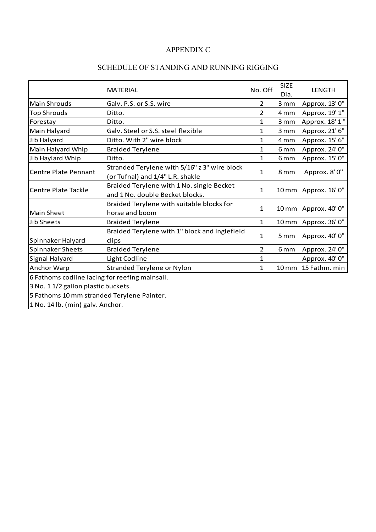### APPENDIX C

### SCHEDULE OF STANDING AND RUNNING RIGGING

|                         | <b>MATERIAL</b>                                                                  | No. Off      | <b>SIZE</b><br>Dia. | <b>LENGTH</b>        |
|-------------------------|----------------------------------------------------------------------------------|--------------|---------------------|----------------------|
| <b>Main Shrouds</b>     | Galv. P.S. or S.S. wire                                                          | 2            | 3 mm                | Approx. 13' 0"       |
| <b>Top Shrouds</b>      | Ditto.                                                                           | 2            | 4 mm                | Approx. 19' 1"       |
| Forestay                | Ditto.                                                                           | 1            | 3 mm                | Approx. 18' 1"       |
| Main Halyard            | Galv. Steel or S.S. steel flexible                                               | 1            | 3 mm                | Approx. 21' 6"       |
| Jib Halyard             | Ditto. With 2" wire block                                                        | 1            | 4 mm                | Approx. 15' 6"       |
| Main Halyard Whip       | <b>Braided Terylene</b>                                                          | $\mathbf{1}$ | 6 <sub>mm</sub>     | Approx. 24' 0"       |
| Jib Haylard Whip        | Ditto.                                                                           | 1            | 6 <sub>mm</sub>     | Approx. 15' 0"       |
| Centre Plate Pennant    | Stranded Terylene with 5/16" z 3" wire block<br>(or Tufnal) and 1/4" L.R. shakle | 1            | 8 mm                | Approx. 8' 0"        |
| lCentre Plate Tackle    | Braided Terylene with 1 No. single Becket<br>and 1 No. double Becket blocks.     | 1            |                     | 10 mm Approx. 16' 0" |
| <b>Main Sheet</b>       | Braided Terylene with suitable blocks for<br>horse and boom                      | 1            |                     | 10 mm Approx. 40' 0" |
| <b>Jib Sheets</b>       | <b>Braided Terylene</b>                                                          | 1            |                     | 10 mm Approx. 36' 0" |
| Spinnaker Halyard       | Braided Terylene with 1" block and Inglefield<br>clips                           | 1            | 5 mm                | Approx. 40' 0"       |
| <b>Spinnaker Sheets</b> | <b>Braided Terylene</b>                                                          | 2            | 6 <sub>mm</sub>     | Approx. 24' 0"       |
| Signal Halyard          | Light Codline                                                                    | 1            |                     | Approx. 40' 0"       |
| Anchor Warp             | Stranded Terylene or Nylon                                                       | 1            | $10 \, \text{mm}$   | 15 Fathm. min        |

6 Fathoms codline lacing for reefing mainsail.

3 No. 1 1/2 gallon plastic buckets.

5 Fathoms 10 mm stranded Terylene Painter.

 $1$  No. 14 lb. (min) galv. Anchor.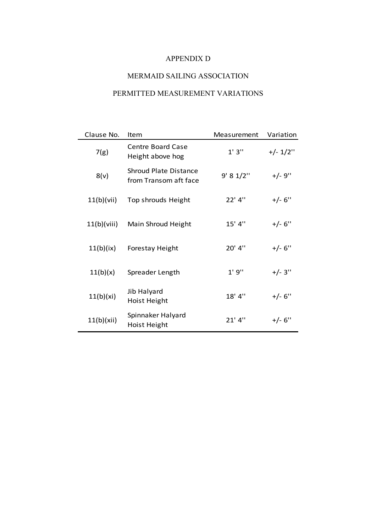### APPENDIX D

## MERMAID SAILING ASSOCIATION

### PERMITTED MEASUREMENT VARIATIONS

| Clause No.  | Item                                                  | Measurement | Variation   |
|-------------|-------------------------------------------------------|-------------|-------------|
| 7(g)        | <b>Centre Board Case</b><br>Height above hog          | 1'3''       | $+/- 1/2$ " |
| 8(v)        | <b>Shroud Plate Distance</b><br>from Transom aft face | 9' 8 1/2''  | $+/-9$ "    |
| 11(b)(vii)  | Top shrouds Height                                    | 22' 4"      | $+/- 6"$    |
| 11(b)(viii) | Main Shroud Height                                    | 15' 4"      | $+/- 6"$    |
| 11(b)(ix)   | <b>Forestay Height</b>                                | 20' 4"      | $+/- 6$ "   |
| 11(b)(x)    | Spreader Length                                       | 1'9''       | $+/- 3"$    |
| 11(b)(xi)   | Jib Halyard<br><b>Hoist Height</b>                    | 18' 4"      | $+/- 6"$    |
| 11(b)(xii)  | Spinnaker Halyard<br><b>Hoist Height</b>              | $21'$ 4"    | $+/- 6"$    |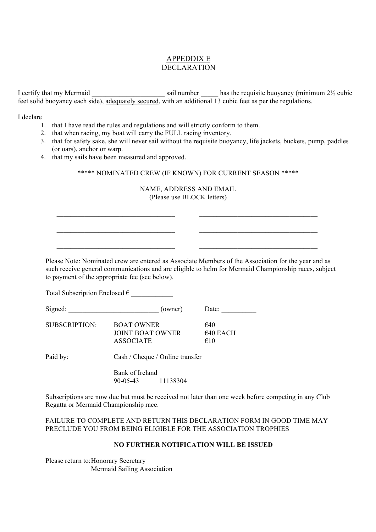### APPEDDIX E DECLARATION

I certify that my Mermaid sail number has the requisite buoyancy (minimum  $2\frac{1}{2}$  cubic feet solid buoyancy each side), adequately secured, with an additional 13 cubic feet as per the regulations.

I declare

- 1. that I have read the rules and regulations and will strictly conform to them.
- 2. that when racing, my boat will carry the FULL racing inventory.
- 3. that for safety sake, she will never sail without the requisite buoyancy, life jackets, buckets, pump, paddles (or oars), anchor or warp.
- 4. that my sails have been measured and approved.

 $\mathcal{L}_\text{max} = \mathcal{L}_\text{max} = \mathcal{L}_\text{max} = \mathcal{L}_\text{max} = \mathcal{L}_\text{max}$ 

 $\mathcal{L}_\text{max}$  and  $\mathcal{L}_\text{max}$  and  $\mathcal{L}_\text{max}$  and  $\mathcal{L}_\text{max}$ 

#### \*\*\*\*\* NOMINATED CREW (IF KNOWN) FOR CURRENT SEASON \*\*\*\*\*

#### NAME, ADDRESS AND EMAIL (Please use BLOCK letters)

Please Note: Nominated crew are entered as Associate Members of the Association for the year and as such receive general communications and are eligible to helm for Mermaid Championship races, subject to payment of the appropriate fee (see below).

 $\mathcal{L}_\text{max}$  and the set of the set of the set of the set of the set of the set of the set of the set of the set of the set of the set of the set of the set of the set of the set of the set of the set of the set of the s

 $\mathcal{L}_\text{max}$  and the set of the set of the set of the set of the set of the set of the set of the set of the set of the set of the set of the set of the set of the set of the set of the set of the set of the set of the s

Total Subscription Enclosed  $\epsilon$ 

| Signed:       | (owner)                                                   | Date:                            |
|---------------|-----------------------------------------------------------|----------------------------------|
| SUBSCRIPTION: | <b>BOAT OWNER</b><br>JOINT BOAT OWNER<br><b>ASSOCIATE</b> | €40<br>$\epsilon$ 40 EACH<br>€10 |

Paid by: Cash / Cheque / Online transfer

Bank of Ireland 90-05-43 11138304

Subscriptions are now due but must be received not later than one week before competing in any Club Regatta or Mermaid Championship race.

FAILURE TO COMPLETE AND RETURN THIS DECLARATION FORM IN GOOD TIME MAY PRECLUDE YOU FROM BEING ELIGIBLE FOR THE ASSOCIATION TROPHIES

#### **NO FURTHER NOTIFICATION WILL BE ISSUED**

Please return to:Honorary Secretary Mermaid Sailing Association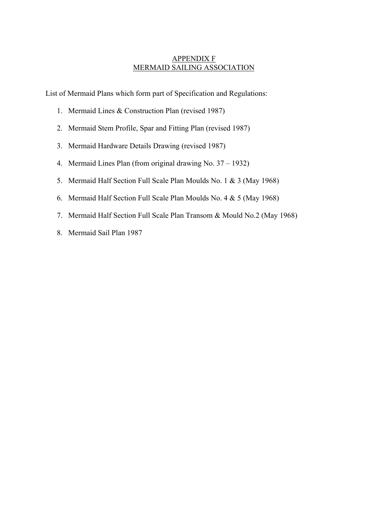### APPENDIX F MERMAID SAILING ASSOCIATION

List of Mermaid Plans which form part of Specification and Regulations:

- 1. Mermaid Lines & Construction Plan (revised 1987)
- 2. Mermaid Stem Profile, Spar and Fitting Plan (revised 1987)
- 3. Mermaid Hardware Details Drawing (revised 1987)
- 4. Mermaid Lines Plan (from original drawing No. 37 1932)
- 5. Mermaid Half Section Full Scale Plan Moulds No. 1 & 3 (May 1968)
- 6. Mermaid Half Section Full Scale Plan Moulds No. 4 & 5 (May 1968)
- 7. Mermaid Half Section Full Scale Plan Transom & Mould No.2 (May 1968)
- 8. Mermaid Sail Plan 1987